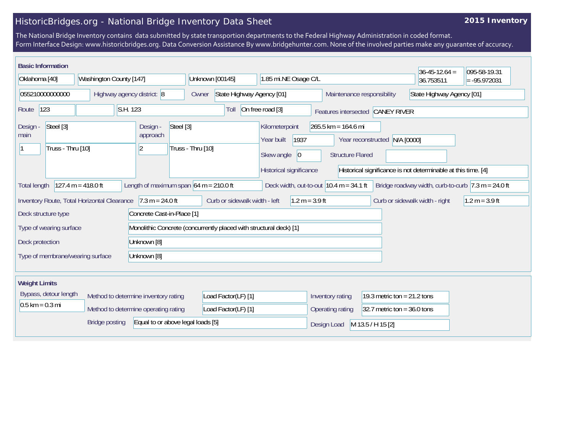## HistoricBridges.org - National Bridge Inventory Data Sheet

## **2015 Inventory**

The National Bridge Inventory contains data submitted by state transportion departments to the Federal Highway Administration in coded format. Form Interface Design: www.historicbridges.org. Data Conversion Assistance By www.bridgehunter.com. None of the involved parties make any guarantee of accuracy.

| <b>Basic Information</b><br>Oklahoma [40]                                                                                                                                                                                                                                                                                  | Washington County [147]                     |                                      | Unknown [00145]                                                    | 1.85 mi.NE Osage C/L                                                                                                                           |                                                   |                                  | $36 - 45 - 12.64 =$<br>36.753511 | 095-58-19.31<br>$= -95.972031$ |  |
|----------------------------------------------------------------------------------------------------------------------------------------------------------------------------------------------------------------------------------------------------------------------------------------------------------------------------|---------------------------------------------|--------------------------------------|--------------------------------------------------------------------|------------------------------------------------------------------------------------------------------------------------------------------------|---------------------------------------------------|----------------------------------|----------------------------------|--------------------------------|--|
| 055210000000000<br>Highway agency district: 8                                                                                                                                                                                                                                                                              |                                             |                                      | State Highway Agency [01]<br>Owner                                 | Maintenance responsibility                                                                                                                     |                                                   | State Highway Agency [01]        |                                  |                                |  |
| 123<br>Route                                                                                                                                                                                                                                                                                                               | S.H. 123                                    |                                      | Toll                                                               | On free road [3]                                                                                                                               |                                                   | Features intersected CANEY RIVER |                                  |                                |  |
| Steel [3]<br>Design -<br>main<br>Truss - Thru [10]<br> 2                                                                                                                                                                                                                                                                   |                                             | Steel [3]<br>Design -<br>approach    | Truss - Thru [10]                                                  | Kilometerpoint<br>$265.5$ km = 164.6 mi<br>1937<br>Year built<br>Year reconstructed N/A [0000]<br>Skew angle<br> 0 <br><b>Structure Flared</b> |                                                   |                                  |                                  |                                |  |
| Historical significance<br>Historical significance is not determinable at this time. [4]<br>Length of maximum span $64$ m = 210.0 ft<br>Deck width, out-to-out $10.4 \text{ m} = 34.1 \text{ ft}$<br>$127.4 m = 418.0 ft$<br>Bridge roadway width, curb-to-curb $ 7.3 \text{ m} = 24.0 \text{ ft} $<br><b>Total length</b> |                                             |                                      |                                                                    |                                                                                                                                                |                                                   |                                  |                                  |                                |  |
|                                                                                                                                                                                                                                                                                                                            | Inventory Route, Total Horizontal Clearance | $7.3 m = 24.0 ft$                    | Curb or sidewalk width - left                                      | $1.2 m = 3.9 ft$                                                                                                                               |                                                   |                                  | Curb or sidewalk width - right   | $1.2 m = 3.9 ft$               |  |
| Deck structure type                                                                                                                                                                                                                                                                                                        |                                             | Concrete Cast-in-Place [1]           |                                                                    |                                                                                                                                                |                                                   |                                  |                                  |                                |  |
| Type of wearing surface                                                                                                                                                                                                                                                                                                    |                                             |                                      | Monolithic Concrete (concurrently placed with structural deck) [1] |                                                                                                                                                |                                                   |                                  |                                  |                                |  |
| Unknown [8]<br>Deck protection                                                                                                                                                                                                                                                                                             |                                             |                                      |                                                                    |                                                                                                                                                |                                                   |                                  |                                  |                                |  |
| Type of membrane/wearing surface<br>Unknown [8]                                                                                                                                                                                                                                                                            |                                             |                                      |                                                                    |                                                                                                                                                |                                                   |                                  |                                  |                                |  |
| <b>Weight Limits</b>                                                                                                                                                                                                                                                                                                       |                                             |                                      |                                                                    |                                                                                                                                                |                                                   |                                  |                                  |                                |  |
| Bypass, detour length                                                                                                                                                                                                                                                                                                      |                                             | Method to determine inventory rating | Load Factor(LF) [1]                                                |                                                                                                                                                | Inventory rating<br>19.3 metric ton = $21.2$ tons |                                  |                                  |                                |  |
| $0.5$ km = 0.3 mi                                                                                                                                                                                                                                                                                                          |                                             | Method to determine operating rating | Load Factor(LF) [1]                                                |                                                                                                                                                | Operating rating                                  | 32.7 metric ton = $36.0$ tons    |                                  |                                |  |
| Equal to or above legal loads [5]<br><b>Bridge posting</b>                                                                                                                                                                                                                                                                 |                                             |                                      |                                                                    |                                                                                                                                                | Design Load                                       | M 13.5 / H 15 [2]                |                                  |                                |  |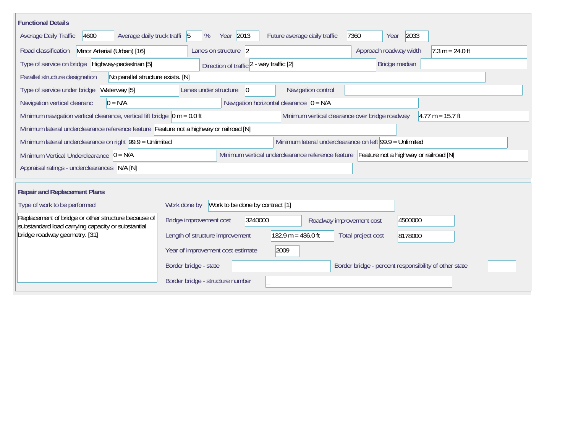| <b>Functional Details</b>                                                                                                                                                             |  |  |  |  |  |  |  |  |  |
|---------------------------------------------------------------------------------------------------------------------------------------------------------------------------------------|--|--|--|--|--|--|--|--|--|
| Year 2013<br>Average daily truck traffi 5<br>2033<br>Average Daily Traffic<br>4600<br>%<br>Future average daily traffic<br>7360<br>Year                                               |  |  |  |  |  |  |  |  |  |
| Road classification<br>Minor Arterial (Urban) [16]<br>$7.3 m = 24.0 ft$<br>Lanes on structure 2<br>Approach roadway width                                                             |  |  |  |  |  |  |  |  |  |
| Type of service on bridge Highway-pedestrian [5]<br>Direction of traffic 2 - way traffic [2]<br>Bridge median                                                                         |  |  |  |  |  |  |  |  |  |
| Parallel structure designation<br>No parallel structure exists. [N]                                                                                                                   |  |  |  |  |  |  |  |  |  |
| Navigation control<br>Type of service under bridge<br>Waterway [5]<br>Lanes under structure<br>$ 0\rangle$                                                                            |  |  |  |  |  |  |  |  |  |
| Navigation horizontal clearance $ 0 = N/A $<br>Navigation vertical clearanc<br>$0 = N/A$                                                                                              |  |  |  |  |  |  |  |  |  |
| Minimum navigation vertical clearance, vertical lift bridge $\vert$ 0 m = 0.0 ft<br>Minimum vertical clearance over bridge roadway<br>$4.77 m = 15.7 ft$                              |  |  |  |  |  |  |  |  |  |
| Minimum lateral underclearance reference feature Feature not a highway or railroad [N]                                                                                                |  |  |  |  |  |  |  |  |  |
| Minimum lateral underclearance on left 99.9 = Unlimited<br>Minimum lateral underclearance on right 99.9 = Unlimited                                                                   |  |  |  |  |  |  |  |  |  |
| Minimum vertical underclearance reference feature Feature not a highway or railroad [N]<br>Minimum Vertical Underclearance $ 0 = N/A $                                                |  |  |  |  |  |  |  |  |  |
| Appraisal ratings - underclearances N/A [N]                                                                                                                                           |  |  |  |  |  |  |  |  |  |
|                                                                                                                                                                                       |  |  |  |  |  |  |  |  |  |
| <b>Repair and Replacement Plans</b>                                                                                                                                                   |  |  |  |  |  |  |  |  |  |
| Work to be done by contract [1]<br>Type of work to be performed<br>Work done by                                                                                                       |  |  |  |  |  |  |  |  |  |
| Replacement of bridge or other structure because of<br>Bridge improvement cost<br>3240000<br>4500000<br>Roadway improvement cost<br>substandard load carrying capacity or substantial |  |  |  |  |  |  |  |  |  |
| bridge roadway geometry. [31]<br>$132.9 m = 436.0 ft$<br>Length of structure improvement<br>Total project cost<br>8178000                                                             |  |  |  |  |  |  |  |  |  |
| Year of improvement cost estimate<br>2009                                                                                                                                             |  |  |  |  |  |  |  |  |  |
| Border bridge - state<br>Border bridge - percent responsibility of other state                                                                                                        |  |  |  |  |  |  |  |  |  |
| Border bridge - structure number                                                                                                                                                      |  |  |  |  |  |  |  |  |  |